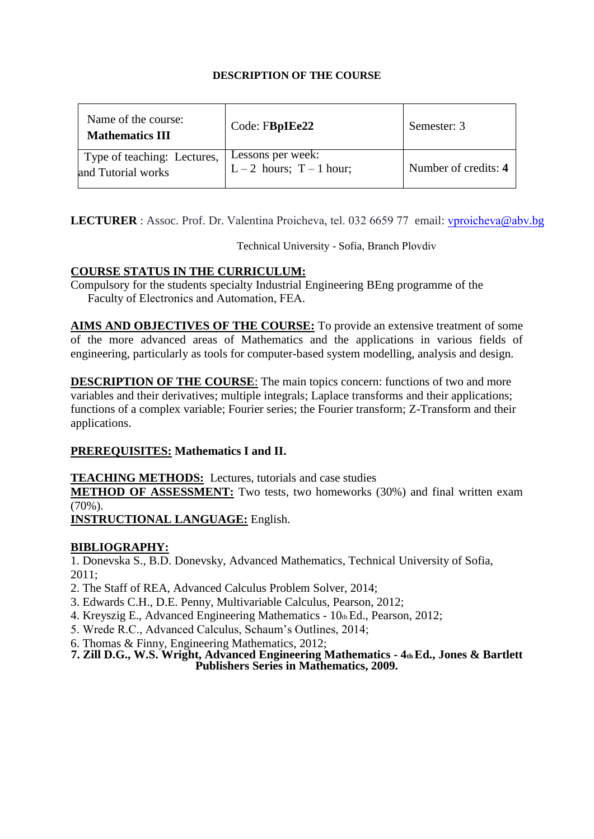| Name of the course:<br><b>Mathematics III</b>     | Code: FBpIEe22                                | Semester: 3          |
|---------------------------------------------------|-----------------------------------------------|----------------------|
| Type of teaching: Lectures,<br>and Tutorial works | Lessons per week:<br>$L-2$ hours; $T-1$ hour; | Number of credits: 4 |

LECTURER : Assoc. Prof. Dr. Valentina Proicheva, [tel. 032 6659 77](mailto:sdon@tu-sofia.bg) email: vproicheva@abv.bg

Technical University - Sofia, Branch Plovdiv

# **COURSE STATUS IN THE CURRICULUM:**

Compulsory for the students specialty Industrial Engineering BEng programme of the Faculty of Electronics and Automation, FEA.

engineering, particularly as tools for computer-based system modelling, analysis and design. **AIMS AND OBJECTIVES OF THE COURSE:** To provide an extensive treatment of some of the more advanced areas of Mathematics and the applications in various fields of

**DESCRIPTION OF THE COURSE**: The main topics concern: functions of two and more variables and their derivatives; multiple integrals; Laplace transforms and their applications; functions of a complex variable; Fourier series; the Fourier transform; Z-Transform and their applications.

# **PREREQUISITES: Mathematics I and II.**

**TEACHING METHODS:** Lectures, tutorials and case studies

**METHOD OF ASSESSMENT:** Two tests, two homeworks (30%) and final written exam (70%).

**INSTRUCTIONAL LANGUAGE:** English.

# **BIBLIOGRAPHY:**

1. Donevska S., B.D. Donevsky, Advanced Mathematics, Technical University of Sofia, 2011;

2. The Staff of REA, Advanced Calculus Problem Solver, 2014;

- 3. Edwards C.H., D.E. Penny, Multivariable Calculus, Pearson, 2012;
- 4. Kreyszig E., Advanced Engineering Mathematics 10th Ed., Pearson, 2012;
- 5. Wrede R.C., Advanced Calculus, Schaum's Outlines, 2014;
- 6. Thomas & Finny, Engineering Mathematics, 2012;
- **7. Zill D.G., W.S. Wright, Advanced Engineering Mathematics 4th Ed., Jones & Bartlett Publishers Series in Mathematics, 2009.**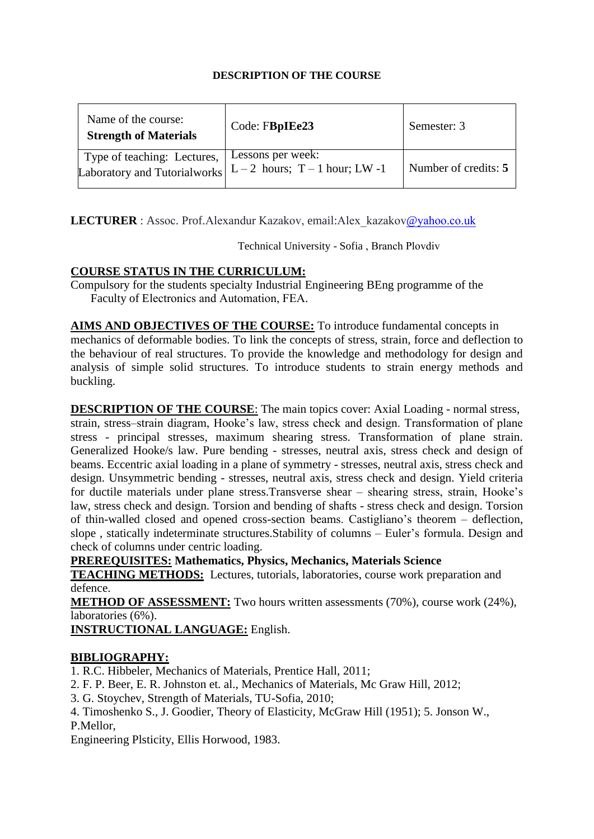| Name of the course:<br><b>Strength of Materials</b> | Code: FBpIEe23                                                                               | Semester: 3          |
|-----------------------------------------------------|----------------------------------------------------------------------------------------------|----------------------|
| Type of teaching: Lectures,                         | Lessons per week:<br>Laboratory and Tutorialworks $\vert L-2 \vert$ hours; T – 1 hour; LW -1 | Number of credits: 5 |

LECTURER : Assoc. Prof.Alexandur Kazakov, email:[Alex\\_kazakov](mailto:chankov@tu-sofia.bg)@yahoo.co.uk

Technical University - Sofia , Branch Plovdiv

## **COURSE STATUS IN THE CURRICULUM:**

Compulsory for the students specialty Industrial Engineering BEng programme of the Faculty of Electronics and Automation, FEA.

the behaviour of real structures. To provide the knowledge and methodology for design and **AIMS AND OBJECTIVES OF THE COURSE:** To introduce fundamental concepts in mechanics of deformable bodies. To link the concepts of stress, strain, force and deflection to analysis of simple solid structures. To introduce students to strain energy methods and buckling.

**DESCRIPTION OF THE COURSE**: The main topics cover: Axial Loading - normal stress,

strain, stress–strain diagram, Hooke's law, stress check and design. Transformation of plane stress - principal stresses, maximum shearing stress. Transformation of plane strain. Generalized Hooke/s law. Pure bending - stresses, neutral axis, stress check and design of beams. Eccentric axial loading in a plane of symmetry - stresses, neutral axis, stress check and design. Unsymmetric bending - stresses, neutral axis, stress check and design. Yield criteria for ductile materials under plane stress.Transverse shear – shearing stress, strain, Hooke's law, stress check and design. Torsion and bending of shafts - stress check and design. Torsion of thin-walled closed and opened cross-section beams. Castigliano's theorem – deflection, slope , statically indeterminate structures.Stability of columns – Euler's formula. Design and check of columns under centric loading.

**PREREQUISITES: Mathematics, Physics, Mechanics, Materials Science**

**TEACHING METHODS:** Lectures, tutorials, laboratories, course work preparation and defence.

**METHOD OF ASSESSMENT:** Two hours written assessments (70%), course work (24%), laboratories (6%).

**INSTRUCTIONAL LANGUAGE:** English.

## **BIBLIOGRAPHY:**

1. R.C. Hibbeler, Mechanics of Materials, Prentice Hall, 2011;

- 2. F. P. Beer, E. R. Johnston et. al., Mechanics of Materials, Mc Graw Hill, 2012;
- 3. G. Stoychev, Strength of Materials, TU-Sofia, 2010;
- 4. Timoshenko S., J. Goodier, Theory of Elasticity, McGraw Hill (1951); 5. Jonson W.,

## P.Mellor,

Engineering Plsticity, Ellis Horwood, 1983.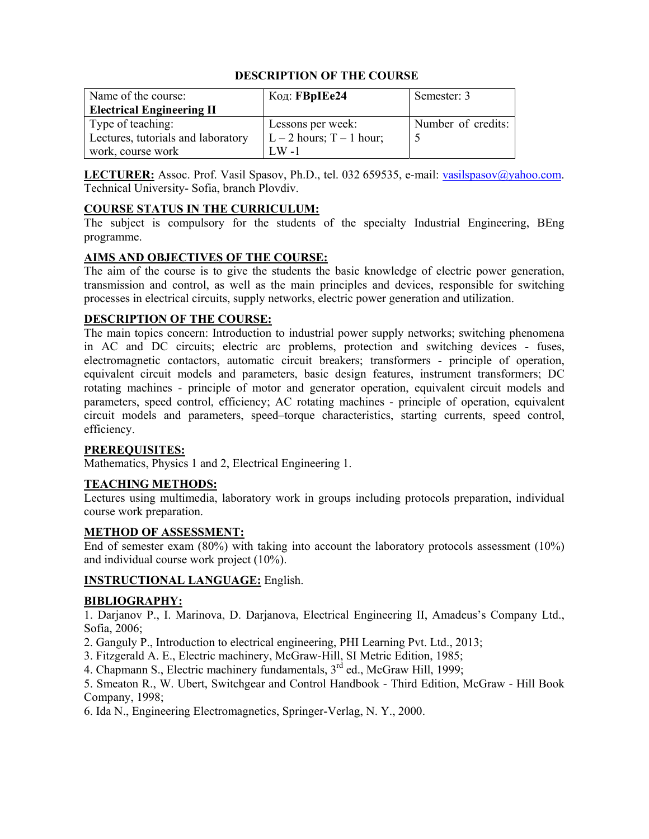| Name of the course:                | Код: <b>FBpIEe24</b>       | Semester: 3        |
|------------------------------------|----------------------------|--------------------|
| <b>Electrical Engineering II</b>   |                            |                    |
| Type of teaching:                  | Lessons per week:          | Number of credits: |
| Lectures, tutorials and laboratory | $L - 2$ hours; T – 1 hour; |                    |
| work, course work                  | LW -1                      |                    |

LECTURER: Assoc. Prof. Vasil Spasov, Ph.D., tel. 032 659535, e-mail: vasilspasov@yahoo.com. Technical University- Sofia, branch Plovdiv.

#### **COURSE STATUS IN THE CURRICULUM:**

The subject is compulsory for the students of the specialty Industrial Engineering, BEng programme.

#### **AIMS AND OBJECTIVES OF THE COURSE:**

The aim of the course is to give the students the basic knowledge of electric power generation, transmission and control, as well as the main principles and devices, responsible for switching processes in electrical circuits, supply networks, electric power generation and utilization.

#### **DESCRIPTION OF THE COURSE:**

The main topics concern: Introduction to industrial power supply networks; switching phenomena in AC and DC circuits; electric arc problems, protection and switching devices - fuses, electromagnetic contactors, automatic circuit breakers; transformers - principle of operation, equivalent circuit models and parameters, basic design features, instrument transformers; DC rotating machines - principle of motor and generator operation, equivalent circuit models and parameters, speed control, efficiency; AC rotating machines - principle of operation, equivalent circuit models and parameters, speed–torque characteristics, starting currents, speed control, efficiency.

#### **PREREQUISITES:**

Mathematics, Physics 1 and 2, Electrical Engineering 1.

#### **TEACHING METHODS:**

Lectures using multimedia, laboratory work in groups including protocols preparation, individual course work preparation.

#### **METHOD OF ASSESSMENT:**

End of semester exam (80%) with taking into account the laboratory protocols assessment (10%) and individual course work project (10%).

#### **INSTRUCTIONAL LANGUAGE:** English.

#### **BIBLIOGRAPHY:**

1. Darjanov P., I. Marinova, D. Darjanova, Electrical Engineering II, Amadeus's Company Ltd., Sofia, 2006;

- 2. Ganguly P., Introduction to electrical engineering, PHI Learning Pvt. Ltd., 2013;
- 3. Fitzgerald A. E., Electric machinery, McGraw-Hill, SI Metric Edition, 1985;
- 4. Chapmann S., Electric machinery fundamentals, 3<sup>rd</sup> ed., McGraw Hill, 1999;

5. Smeaton R., W. Ubert, Switchgear and Control Handbook - Third Edition, McGraw - Hill Book Company, 1998;

6. Ida N., Engineering Electromagnetics, Springer-Verlag, N. Y., 2000.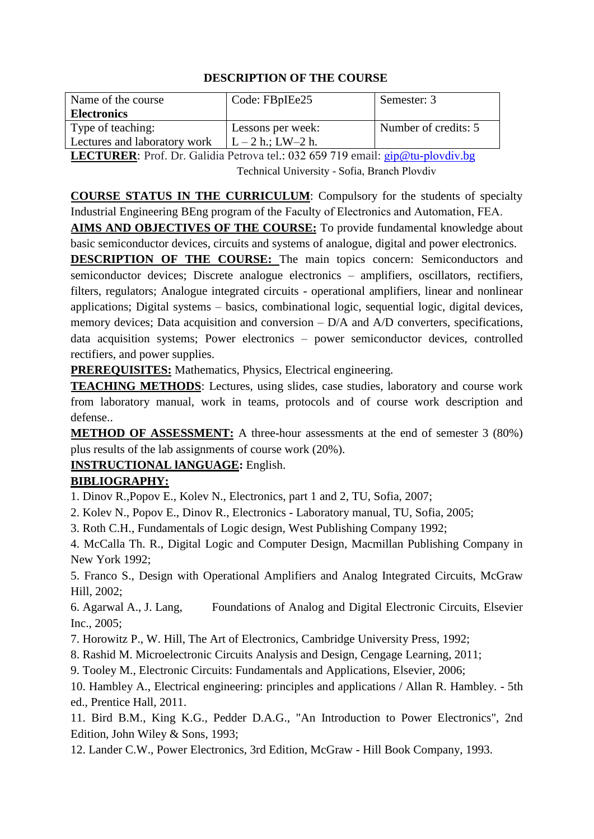| Name of the course           | Code: FBpIEe25       | Semester: 3          |
|------------------------------|----------------------|----------------------|
| <b>Electronics</b>           |                      |                      |
| Type of teaching:            | Lessons per week:    | Number of credits: 5 |
| Lectures and laboratory work | $L - 2 h$ .; LW-2 h. |                      |

**LECTURER**: Prof. Dr. Galidia Petrova tel.: 032 659 719 email: gip@tu-[plovdiv](mailto:rdinov@tu-sofia.bg).bg Technical University - Sofia, Branch Plovdiv

**COURSE STATUS IN THE CURRICULUM**: Compulsory for the students of specialty Industrial Engineering BEng program of the Faculty of Electronics and Automation, FEA.

**AIMS AND OBJECTIVES OF THE COURSE:** To provide fundamental knowledge about basic semiconductor devices, circuits and systems of analogue, digital and power electronics.

**DESCRIPTION OF THE COURSE:** The main topics concern: Semiconductors and semiconductor devices; Discrete analogue electronics – amplifiers, oscillators, rectifiers, filters, regulators; Analogue integrated circuits - operational amplifiers, linear and nonlinear applications; Digital systems – basics, combinational logic, sequential logic, digital devices, memory devices; Data acquisition and conversion – D/A and A/D converters, specifications, data acquisition systems; Power electronics – power semiconductor devices, controlled rectifiers, and power supplies.

**PREREQUISITES:** Mathematics, Physics, Electrical engineering.

**TEACHING METHODS:** Lectures, using slides, case studies, laboratory and course work from laboratory manual, work in teams, protocols and of course work description and defense..

**METHOD OF ASSESSMENT:** A three-hour assessments at the end of semester 3 (80%) plus results of the lab assignments of course work (20%).

# **INSTRUCTIONAL lANGUAGE:** English.

# **BIBLIOGRAPHY:**

1. Dinov R.,Popov E., Kolev N., Electronics, part 1 and 2, TU, Sofia, 2007;

2. Kolev N., Popov E., Dinov R., Electronics - Laboratory manual, TU, Sofia, 2005;

3. Roth C.H., Fundamentals of Logic design, West Publishing Company 1992;

4. McCalla Th. R., Digital Logic and Computer Design, Macmillan Publishing Company in New York 1992;

5. Franco S., Design with Operational Amplifiers and Analog Integrated Circuits, McGraw Hill, 2002;

6. Agarwal A., J. Lang, Foundations of Analog and Digital Electronic Circuits, Elsevier Inc., 2005;

7. Horowitz P., W. Hill, The Art of Electronics, Cambridge University Press, 1992;

8. Rashid M. Microelectronic Circuits Analysis and Design, Cengage Learning, 2011;

9. Tooley M., Electronic Circuits: Fundamentals and Applications, Elsevier, 2006;

10. Hambley A., Electrical engineering: principles and applications / Allan R. Hambley. - 5th ed., Prentice Hall, 2011.

11. Bird B.M., King K.G., Pedder D.A.G., "An Introduction to Power Electronics", 2nd Edition, John Wiley & Sons, 1993;

12. Lander C.W., Power Electronics, 3rd Edition, McGraw - Hill Book Company, 1993.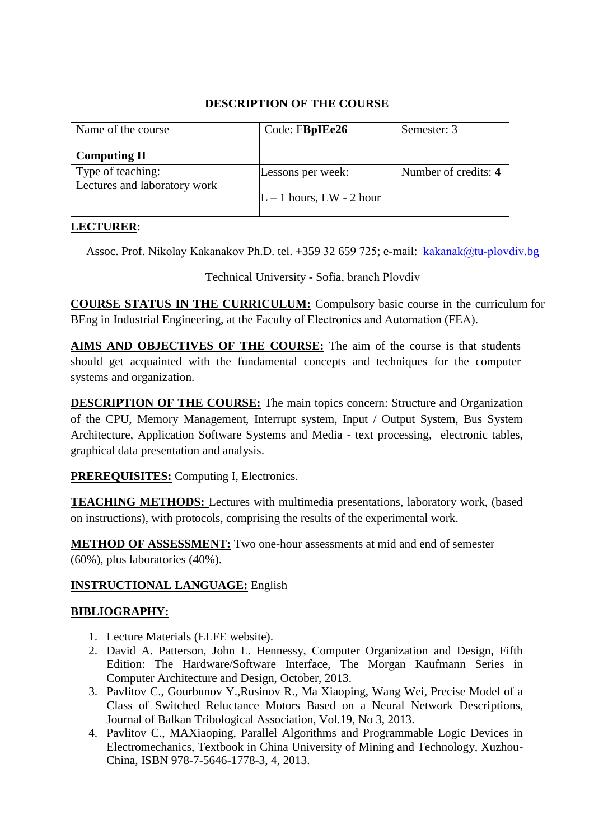| Name of the course           | Code: FBpIEe26           | Semester: 3          |
|------------------------------|--------------------------|----------------------|
| <b>Computing II</b>          |                          |                      |
| Type of teaching:            | Lessons per week:        | Number of credits: 4 |
| Lectures and laboratory work | $L-1$ hours, LW - 2 hour |                      |

## **LECTURER**:

Assoc. Prof. Nikolay Kakanakov Ph.D. tel. +359 32 659 725; e-mail: [kakanak@t](mailto:knp@tu-sofia.bg)u-plovdiv.bg

Technical University - Sofia, branch Plovdiv

**COURSE STATUS IN THE CURRICULUM:** Compulsory basic course in the curriculum for BEng in Industrial Engineering, at the Faculty of Electronics and Automation (FEA).

**AIMS AND OBJECTIVES OF THE COURSE:** The aim of the course is that students should get acquainted with the fundamental concepts and techniques for the computer systems and organization.

**DESCRIPTION OF THE COURSE:** The main topics concern: Structure and Organization of the CPU, Memory Management, Interrupt system, Input / Output System, Bus System Architecture, Application Software Systems and Media - text processing, electronic tables, graphical data presentation and analysis.

**PREREQUISITES:** Computing I, Electronics.

**TEACHING METHODS:** Lectures with multimedia presentations, laboratory work, (based on instructions), with protocols, comprising the results of the experimental work.

**METHOD OF ASSESSMENT:** Two one-hour assessments at mid and end of semester (60%), plus laboratories (40%).

# **INSTRUCTIONAL LANGUAGE:** English

- 1. Lecture Materials (ELFE website).
- 2. David A. Patterson, John L. Hennessy, Computer Organization and Design, Fifth Edition: The Hardware/Software Interface, The Morgan Kaufmann Series in Computer Architecture and Design, October, 2013.
- 3. Pavlitov C., Gourbunov Y.,Rusinov R., Ma Xiaoping, Wang Wei, Precise Model of a Class of Switched Reluctance Motors Based on a Neural Network Descriptions, Journal of Balkan Tribological Association, Vol.19, No 3, 2013.
- 4. Pavlitov C., MAXiaoping, Parallel Algorithms and Programmable Logic Devices in Electromechanics, Textbook in China University of Mining and Technology, Xuzhou-China, ISBN 978-7-5646-1778-3, 4, 2013.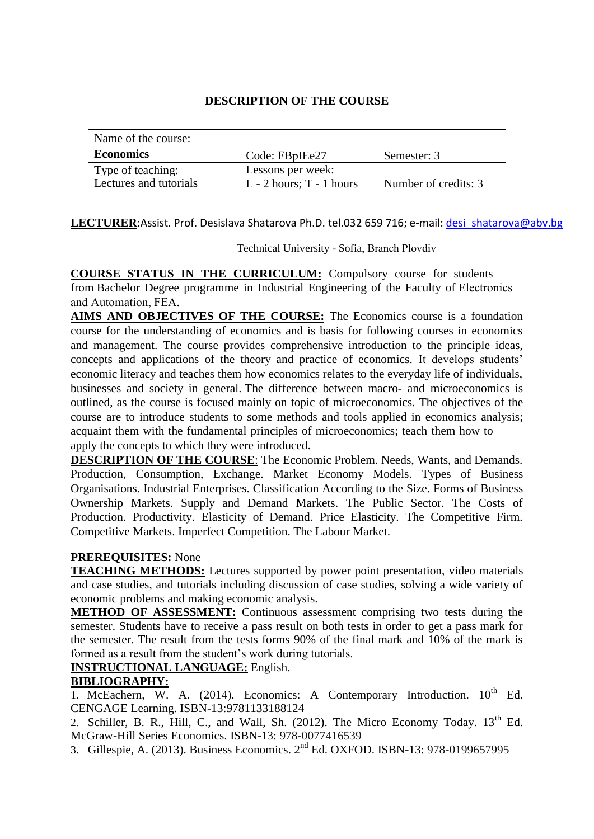| Name of the course:    |                              |                      |
|------------------------|------------------------------|----------------------|
| <b>Economics</b>       | Code: FBpIEe27               | Semester: 3          |
| Type of teaching:      | Lessons per week:            |                      |
| Lectures and tutorials | $L - 2$ hours; $T - 1$ hours | Number of credits: 3 |

LECTURER: Assist. Prof. Desislava Shatarova Ph.D. tel.032 659 716; e-mail: desi shatarova@abv.bg

Technical University - Sofia, Branch Plovdiv

**COURSE STATUS IN THE CURRICULUM:** Compulsory course for students from Bachelor Degree programme in Industrial Engineering of the Faculty of Electronics and Automation, FEA.

**AIMS AND OBJECTIVES OF THE COURSE:** The Economics course is a foundation course for the understanding of economics and is basis for following courses in economics and management. The course provides comprehensive introduction to the principle ideas, concepts and applications of the theory and practice of economics. It develops students' economic literacy and teaches them how economics relates to the everyday life of individuals, businesses and society in general. The difference between macro- and microeconomics is outlined, as the course is focused mainly on topic of microeconomics. The objectives of the course are to introduce students to some methods and tools applied in economics analysis; acquaint them with the fundamental principles of microeconomics; teach them how to apply the concepts to which they were introduced.

**DESCRIPTION OF THE COURSE**: The Economic Problem. Needs, Wants, and Demands. Production, Consumption, Exchange. Market Economy Models. Types of Business Organisations. Industrial Enterprises. Classification According to the Size. Forms of Business Ownership Markets. Supply and Demand Markets. The Public Sector. The Costs of Production. Productivity. Elasticity of Demand. Price Elasticity. The Competitive Firm. Competitive Markets. Imperfect Competition. The Labour Market.

## **PREREQUISITES:** None

**TEACHING METHODS:** Lectures supported by power point presentation, video materials and case studies, and tutorials including discussion of case studies, solving a wide variety of economic problems and making economic analysis.

**METHOD OF ASSESSMENT:** Continuous assessment comprising two tests during the semester. Students have to receive a pass result on both tests in order to get a pass mark for the semester. The result from the tests forms 90% of the final mark and 10% of the mark is formed as a result from the student's work during tutorials.

# **INSTRUCTIONAL LANGUAGE:** English.

## **BIBLIOGRAPHY:**

1. McEachern, W. A.  $(2014)$ . Economics: A Contemporary Introduction.  $10^{th}$  Ed. CENGAGE Learning. ISBN-13:9781133188124

2. Schiller, B. R., Hill, C., and Wall, Sh. (2012). The Micro Economy Today. 13<sup>th</sup> Ed. McGraw-Hill Series Economics. ISBN-13: 978-0077416539

3. Gillespie, A. (2013). Business Economics. 2nd Ed. OXFOD. ISBN-13: 978-0199657995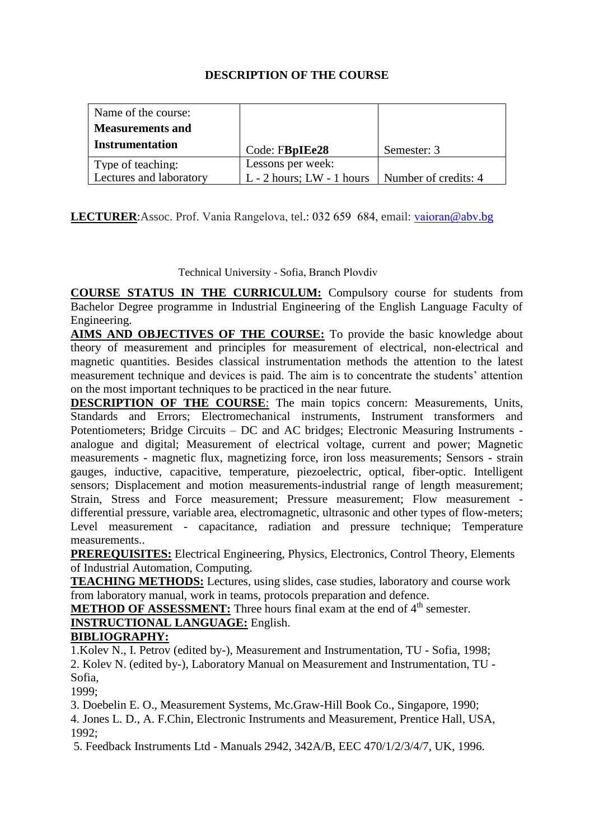| Name of the course:     |                               |                      |
|-------------------------|-------------------------------|----------------------|
| <b>Measurements and</b> |                               |                      |
| <b>Instrumentation</b>  | Code: FBpIEe28                | Semester: 3          |
| Type of teaching:       | Lessons per week:             |                      |
| Lectures and laboratory | $L - 2$ hours; $LW - 1$ hours | Number of credits: 4 |

**LECTURER**:Assoc. Prof. Vania Rangelova, tel.: 032 659 684, email: [vaioran](mailto:rdinov@tu-sofia.bg)@abv.bg

Technical University - Sofia, Branch Plovdiv

**COURSE STATUS IN THE CURRICULUM:** Compulsory course for students from Bachelor Degree programme in Industrial Engineering of the English Language Faculty of Engineering.

**AIMS AND OBJECTIVES OF THE COURSE:** To provide the basic knowledge about theory of measurement and principles for measurement of electrical, non-electrical and magnetic quantities. Besides classical instrumentation methods the attention to the latest measurement technique and devices is paid. The aim is to concentrate the students' attention on the most important techniques to be practiced in the near future.

**DESCRIPTION OF THE COURSE:** The main topics concern: Measurements, Units, Standards and Errors; Electromechanical instruments, Instrument transformers and Potentiometers; Bridge Circuits – DC and AC bridges; Electronic Measuring Instruments analogue and digital; Measurement of electrical voltage, current and power; Magnetic measurements - magnetic flux, magnetizing force, iron loss measurements; Sensors - strain gauges, inductive, capacitive, temperature, piezoelectric, optical, fiber-optic. Intelligent sensors; Displacement and motion measurements-industrial range of length measurement; Strain, Stress and Force measurement; Pressure measurement; Flow measurement differential pressure, variable area, electromagnetic, ultrasonic and other types of flow-meters; Level measurement - capacitance, radiation and pressure technique; Temperature measurements..

**PREREQUISITES:** Electrical Engineering, Physics, Electronics, Control Theory, Elements of Industrial Automation, Computing.

**TEACHING METHODS:** Lectures, using slides, case studies, laboratory and course work from laboratory manual, work in teams, protocols preparation and defence.

**METHOD OF ASSESSMENT:** Three hours final exam at the end of 4<sup>th</sup> semester.

#### **INSTRUCTIONAL LANGUAGE:** English. **BIBLIOGRAPHY:**

1.Kolev N., I. Petrov (edited by-), Measurement and Instrumentation, TU - Sofia, 1998; 2. Kolev N. (edited by-), Laboratory Manual on Measurement and Instrumentation, TU - Sofia,

1999;

3. Doebelin E. O., Measurement Systems, Mc.Graw-Hill Book Co., Singapore, 1990;

4. Jones L. D., A. F.Chin, Electronic Instruments and Measurement, Prentice Hall, USA, 1992;

5. Feedback Instruments Ltd - Manuals 2942, 342A/B, EEC 470/1/2/3/4/7, UK, 1996.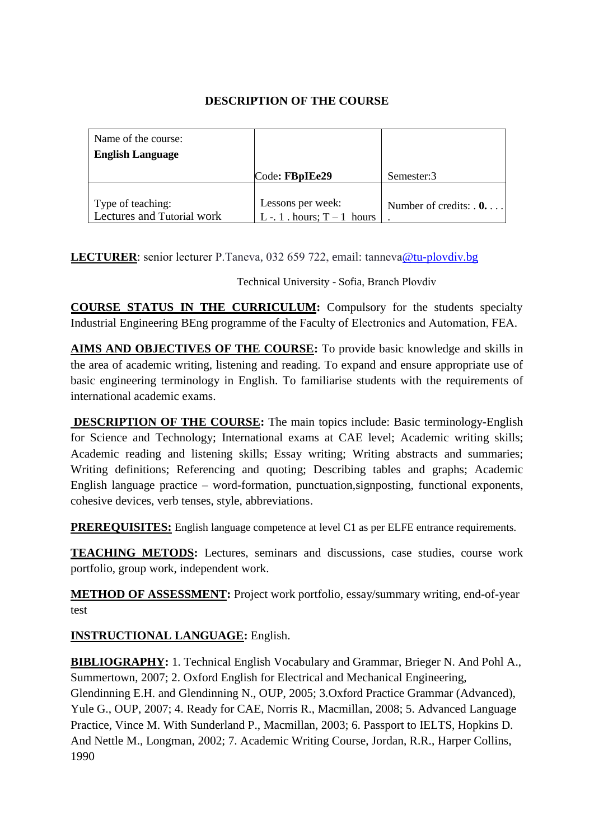| Name of the course:                             |                                                  |                             |
|-------------------------------------------------|--------------------------------------------------|-----------------------------|
| <b>English Language</b>                         |                                                  |                             |
|                                                 | Code: FBpIEe29                                   | Semester:3                  |
|                                                 |                                                  |                             |
| Type of teaching:<br>Lectures and Tutorial work | Lessons per week:<br>L -. 1 . hours; $T-1$ hours | Number of credits: $\theta$ |

**LECTURER**: senior lecturer P.Taneva, 032 659 722, email: [tanneva](mailto:a_dineva@tu-sofia.bg)@tu-plovdiv.bg

Technical University - Sofia, Branch Plovdiv

**COURSE STATUS IN THE CURRICULUM:** Compulsory for the students specialty Industrial Engineering BEng programme of the Faculty of Electronics and Automation, FEA.

**AIMS AND OBJECTIVES OF THE COURSE:** To provide basic knowledge and skills in the area of academic writing, listening and reading. To expand and ensure appropriate use of basic engineering terminology in English. To familiarise students with the requirements of international academic exams.

**DESCRIPTION OF THE COURSE:** The main topics include: Basic terminology-English for Science and Technology; International exams at CAE level; Academic writing skills; Academic reading and listening skills; Essay writing; Writing abstracts and summaries; Writing definitions; Referencing and quoting; Describing tables and graphs; Academic English language practice – word-formation, punctuation,signposting, functional exponents, cohesive devices, verb tenses, style, abbreviations.

**PREREQUISITES:** English language competence at level C1 as per ELFE entrance requirements.

**TEACHING METODS:** Lectures, seminars and discussions, case studies, course work portfolio, group work, independent work.

**METHOD OF ASSESSMENT:** Project work portfolio, essay/summary writing, end-of-year test

**INSTRUCTIONAL LANGUAGE:** English.

**BIBLIOGRAPHY:** 1. Technical English Vocabulary and Grammar, Brieger N. And Pohl A., Summertown, 2007; 2. Oxford English for Electrical and Mechanical Engineering, Glendinning E.H. and Glendinning N., OUP, 2005; 3.Oxford Practice Grammar (Advanced), Yule G., OUP, 2007; 4. Ready for CAE, Norris R., Macmillan, 2008; 5. Advanced Language Practice, Vince M. With Sunderland P., Macmillan, 2003; 6. Passport to IELTS, Hopkins D. And Nettle M., Longman, 2002; 7. Academic Writing Course, Jordan, R.R., Harper Collins, 1990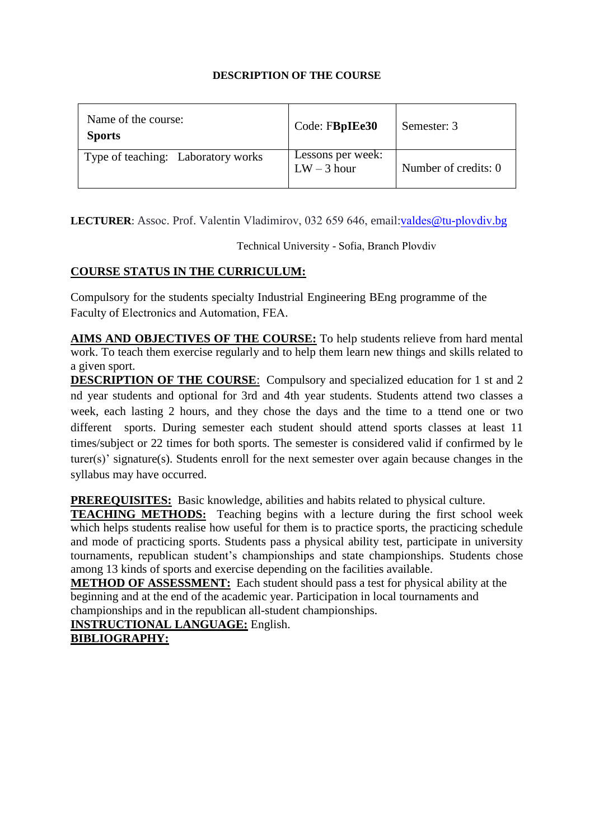| Name of the course:<br><b>Sports</b> | Code: FBpIEe30                     | Semester: 3          |
|--------------------------------------|------------------------------------|----------------------|
| Type of teaching: Laboratory works   | Lessons per week:<br>$LW - 3$ hour | Number of credits: 0 |

**LECTURER**: Assoc. Prof. Valentin Vladimiro[v, 032 659 646,](mailto:iv_venkov@tu-sofia.bg) email:valdes@tu-plovdiv.bg

Technical University - Sofia, Branch Plovdiv

## **COURSE STATUS IN THE CURRICULUM:**

Compulsory for the students specialty Industrial Engineering BEng programme of the Faculty of Electronics and Automation, FEA.

work. To teach them exercise regularly and to help them learn new things and skills related to **AIMS AND OBJECTIVES OF THE COURSE:** To help students relieve from hard mental a given sport.

**DESCRIPTION OF THE COURSE**: Compulsory and specialized education for 1 st and 2 nd year students and optional for 3rd and 4th year students. Students attend two classes a week, each lasting 2 hours, and they chose the days and the time to a ttend one or two different sports. During semester each student should attend sports classes at least 11 times/subject or 22 times for both sports. The semester is considered valid if confirmed by le turer(s)' signature(s). Students enroll for the next semester over again because changes in the syllabus may have occurred.

**PREREQUISITES:** Basic knowledge, abilities and habits related to physical culture.

**TEACHING METHODS:** Teaching begins with a lecture during the first school week which helps students realise how useful for them is to practice sports, the practicing schedule and mode of practicing sports. Students pass a physical ability test, participate in university tournaments, republican student's championships and state championships. Students chose among 13 kinds of sports and exercise depending on the facilities available.

**METHOD OF ASSESSMENT:** Each student should pass a test for physical ability at the beginning and at the end of the academic year. Participation in local tournaments and championships and in the republican all-student championships.

**INSTRUCTIONAL LANGUAGE:** English.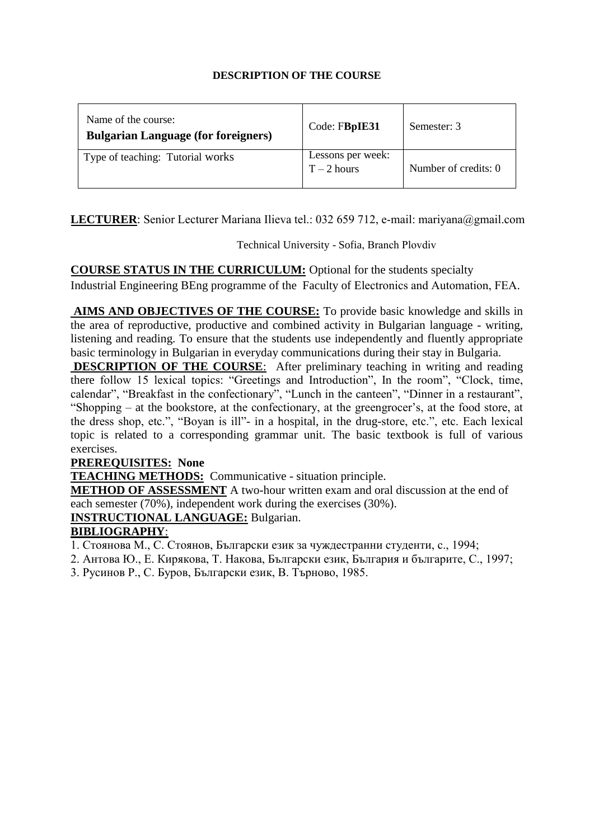| Name of the course:<br><b>Bulgarian Language (for foreigners)</b> | Code: FBpIE31                      | Semester: 3          |
|-------------------------------------------------------------------|------------------------------------|----------------------|
| Type of teaching: Tutorial works                                  | Lessons per week:<br>$T - 2$ hours | Number of credits: 0 |

**LECTURER**: Senior Lecturer Mariana Ilieva tel.: 032 659 712, e-mail: mariyana@gmail.com

Technical University - Sofia, Branch Plovdiv

**COURSE STATUS IN THE CURRICULUM:** Optional for the students specialty Industrial Engineering BEng programme of the Faculty of Electronics and Automation, FEA.

AIMS AND OBJECTIVES OF THE COURSE: To provide basic knowledge and skills in basic terminology in Bulgarian in everyday communications during their stay in Bulgaria. the area of reproductive, productive and combined activity in Bulgarian language - writing, listening and reading. To ensure that the students use independently and fluently appropriate

**DESCRIPTION OF THE COURSE**: After preliminary teaching in writing and reading there follow 15 lexical topics: "Greetings and Introduction", In the room", "Clock, time, calendar", "Breakfast in the confectionary", "Lunch in the canteen", "Dinner in a restaurant", "Shopping – at the bookstore, at the confectionary, at the greengrocer's, at the food store, at the dress shop, etc.", "Boyan is ill"- in a hospital, in the drug-store, etc.", etc. Each lexical topic is related to a corresponding grammar unit. The basic textbook is full of various exercises.

## **PREREQUISITES: None**

**TEACHING METHODS:** Communicative - situation principle.

**METHOD OF ASSESSMENT** A two-hour written exam and oral discussion at the end of each semester (70%), independent work during the exercises (30%).

**INSTRUCTIONAL LANGUAGE:** Bulgarian.

# **BIBLIOGRAPHY**:

1. Стоянова М., С. Стоянов, Български език за чуждестранни студенти, с., 1994;

- 2. Антова Ю., Е. Кирякова, Т. Накова, Български език, България и българите, С., 1997;
- 3. Русинов Р., С. Буров, Български език, В. Търново, 1985.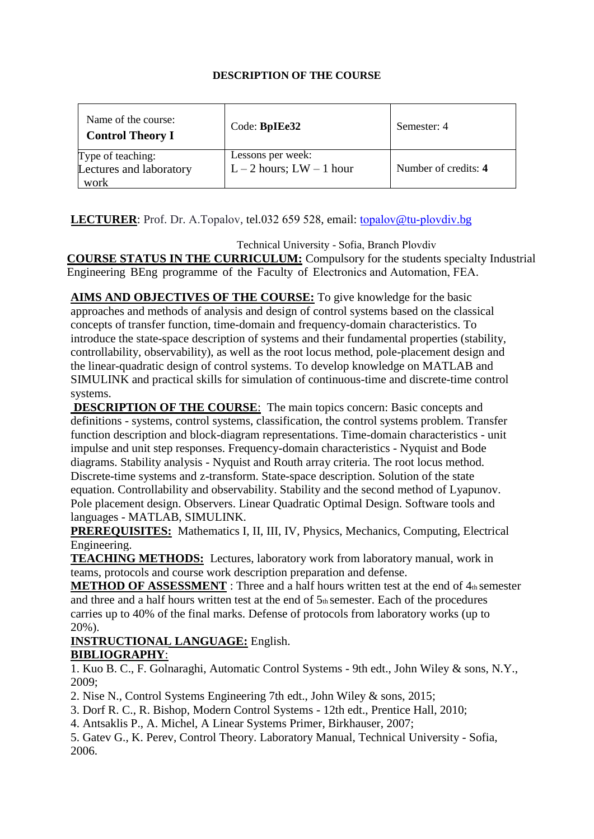| Name of the course:<br><b>Control Theory I</b>       | Code: BpIEe32                                 | Semester: 4          |
|------------------------------------------------------|-----------------------------------------------|----------------------|
| Type of teaching:<br>Lectures and laboratory<br>work | Lessons per week:<br>$L-2$ hours; $LW-1$ hour | Number of credits: 4 |

# **LECTURER**: Prof. Dr. A.Topalov, tel.032 659 528, email: topalov@tu-[plovdiv](mailto:kperev@tu-sofia.bg).bg

Technical University - Sofia, Branch Plovdiv **COURSE STATUS IN THE CURRICULUM:** Compulsory for the students specialty Industrial Engineering BEng programme of the Faculty of Electronics and Automation, FEA.

AIMS AND OBJECTIVES OF THE COURSE: To give knowledge for the basic introduce the state-space description of systems and their fundamental properties (stability, approaches and methods of analysis and design of control systems based on the classical concepts of transfer function, time-domain and frequency-domain characteristics. To controllability, observability), as well as the root locus method, pole-placement design and the linear-quadratic design of control systems. To develop knowledge on MATLAB and SIMULINK and practical skills for simulation of continuous-time and discrete-time control systems.

**DESCRIPTION OF THE COURSE:** The main topics concern: Basic concepts and definitions - systems, control systems, classification, the control systems problem. Transfer function description and block-diagram representations. Time-domain characteristics - unit impulse and unit step responses. Frequency-domain characteristics - Nyquist and Bode diagrams. Stability analysis - Nyquist and Routh array criteria. The root locus method. Discrete-time systems and z-transform. State-space description. Solution of the state equation. Controllability and observability. Stability and the second method of Lyapunov. Pole placement design. Observers. Linear Quadratic Optimal Design. Software tools and languages - MATLAB, SIMULINK.

**PREREQUISITES:** Mathematics I, II, III, IV, Physics, Mechanics, Computing, Electrical Engineering.

**TEACHING METHODS:** Lectures, laboratory work from laboratory manual, work in teams, protocols and course work description preparation and defense.

**METHOD OF ASSESSMENT** : Three and a half hours written test at the end of 4th semester and three and a half hours written test at the end of  $5<sub>th</sub>$  semester. Each of the procedures carries up to 40% of the final marks. Defense of protocols from laboratory works (up to 20%).

## **INSTRUCTIONAL LANGUAGE:** English. **BIBLIOGRAPHY**:

1. Kuo B. C., F. Golnaraghi, Automatic Control Systems - 9th edt., John Wiley & sons, N.Y., 2009;

2. Nise N., Control Systems Engineering 7th edt., John Wiley & sons, 2015;

3. Dorf R. C., R. Bishop, Modern Control Systems - 12th edt., Prentice Hall, 2010;

4. Antsaklis P., A. Michel, A Linear Systems Primer, Birkhauser, 2007;

5. Gatev G., K. Perev, Control Theory. Laboratory Manual, Technical University - Sofia, 2006.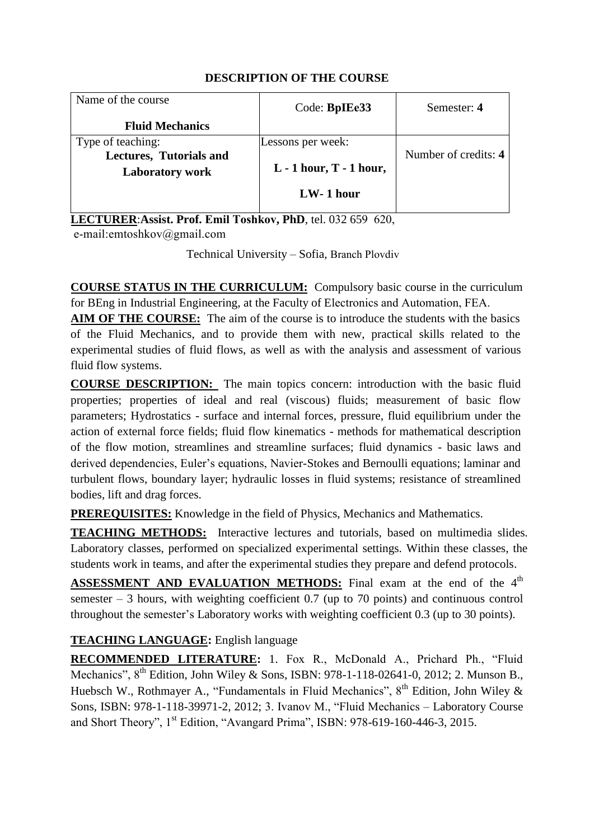| Code: BpIEe33     | Semester: 4                 |
|-------------------|-----------------------------|
|                   |                             |
| Lessons per week: |                             |
|                   | Number of credits: 4        |
|                   |                             |
| $LW-1$ hour       |                             |
|                   | $L - 1$ hour, $T - 1$ hour, |

**LECTURER**:**Assist. Prof. Emil Toshkov, PhD**, tel. 032 659 620, e-mail:emtoshkov@gmail.com

Technical University – Sofia, Branch Plovdiv

**COURSE STATUS IN THE CURRICULUM:** Compulsory basic course in the curriculum for BEng in Industrial Engineering, at the Faculty of Electronics and Automation, FEA.

**AIM OF THE COURSE:** The aim of the course is to introduce the students with the basics of the Fluid Mechanics, and to provide them with new, practical skills related to the experimental studies of fluid flows, as well as with the analysis and assessment of various fluid flow systems.

**COURSE DESCRIPTION:** The main topics concern: introduction with the basic fluid properties; properties of ideal and real (viscous) fluids; measurement of basic flow parameters; Hydrostatics - surface and internal forces, pressure, fluid equilibrium under the action of external force fields; fluid flow kinematics - methods for mathematical description of the flow motion, streamlines and streamline surfaces; fluid dynamics - basic laws and derived dependencies, Euler's equations, Navier-Stokes and Bernoulli equations; laminar and turbulent flows, boundary layer; hydraulic losses in fluid systems; resistance of streamlined bodies, lift and drag forces.

**PREREQUISITES:** Knowledge in the field of Physics, Mechanics and Mathematics.

**TEACHING METHODS:** Interactive lectures and tutorials, based on multimedia slides. Laboratory classes, performed on specialized experimental settings. Within these classes, the students work in teams, and after the experimental studies they prepare and defend protocols.

**ASSESSMENT AND EVALUATION METHODS:** Final exam at the end of the 4<sup>th</sup> semester  $-3$  hours, with weighting coefficient 0.7 (up to 70 points) and continuous control throughout the semester's Laboratory works with weighting coefficient 0.3 (up to 30 points).

# **TEACHING LANGUAGE:** English language

**RECOMMENDED LITERATURE:** 1. Fox R., McDonald A., Prichard Ph., "Fluid Mechanics", 8<sup>th</sup> Edition, John Wiley & Sons, ISBN: 978-1-118-02641-0, 2012; 2. Munson B., Huebsch W., Rothmayer A., "Fundamentals in Fluid Mechanics",  $8<sup>th</sup>$  Edition, John Wiley & Sons, ISBN: 978-1-118-39971-2, 2012; 3. Ivanov M., "Fluid Mechanics – Laboratory Course and Short Theory", 1<sup>st</sup> Edition, "Avangard Prima", ISBN: 978-619-160-446-3, 2015.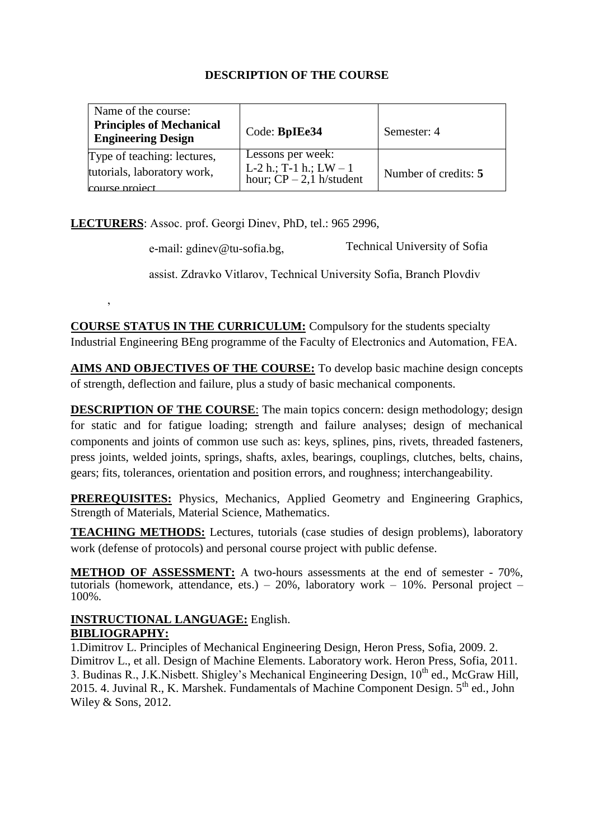| Name of the course:                                                          |                                                                               |                      |
|------------------------------------------------------------------------------|-------------------------------------------------------------------------------|----------------------|
| <b>Principles of Mechanical</b><br><b>Engineering Design</b>                 | Code: BpIEe34                                                                 | Semester: 4          |
| Type of teaching: lectures,<br>tutorials, laboratory work,<br>course project | Lessons per week:<br>L-2 h.; T-1 h.; $LW - 1$<br>hour; $CP - 2$ , 1 h/student | Number of credits: 5 |

**LECTURERS**: Assoc. prof. Georgi Dinev, PhD, tel.: 965 2996,

,

е-mail: gdinev@tu-sofia.bg, Technical University of Sofia

assist. Zdravko Vitlarov, Technical University Sofia, Branch Plovdiv

**COURSE STATUS IN THE CURRICULUM:** Compulsory for the students specialty Industrial Engineering BEng programme of the Faculty of Electronics and Automation, FEA.

**AIMS AND OBJECTIVES OF THE COURSE:** To develop basic machine design concepts of strength, deflection and failure, plus a study of basic mechanical components.

**DESCRIPTION OF THE COURSE:** The main topics concern: design methodology; design for static and for fatigue loading; strength and failure analyses; design of mechanical components and joints of common use such as: keys, splines, pins, rivets, threaded fasteners, press joints, welded joints, springs, shafts, axles, bearings, couplings, clutches, belts, chains, gears; fits, tolerances, orientation and position errors, and roughness; interchangeability.

**PREREQUISITES:** Physics, Mechanics, Applied Geometry and Engineering Graphics, Strength of Materials, Material Science, Mathematics.

**TEACHING METHODS:** Lectures, tutorials (case studies of design problems), laboratory work (defense of protocols) and personal course project with public defense.

**METHOD OF ASSESSMENT:** A two-hours assessments at the end of semester - 70%, tutorials (homework, attendance, ets.) – 20%, laboratory work – 10%. Personal project – 100%.

## **INSTRUCTIONAL LANGUAGE:** English. **BIBLIOGRAPHY:**

1.Dimitrov L. Principles of Mechanical Engineering Design, Heron Press, Sofia, 2009. 2. Dimitrov L., et all. Design of Machine Elements. Laboratory work. Heron Press, Sofia, 2011. 3. Budinas R., J.K.Nisbett. Shigley's Mechanical Engineering Design, 10<sup>th</sup> ed., McGraw Hill, 2015. 4. Juvinal R., K. Marshek. Fundamentals of Machine Component Design.  $5<sup>th</sup>$  ed., John Wiley & Sons, 2012.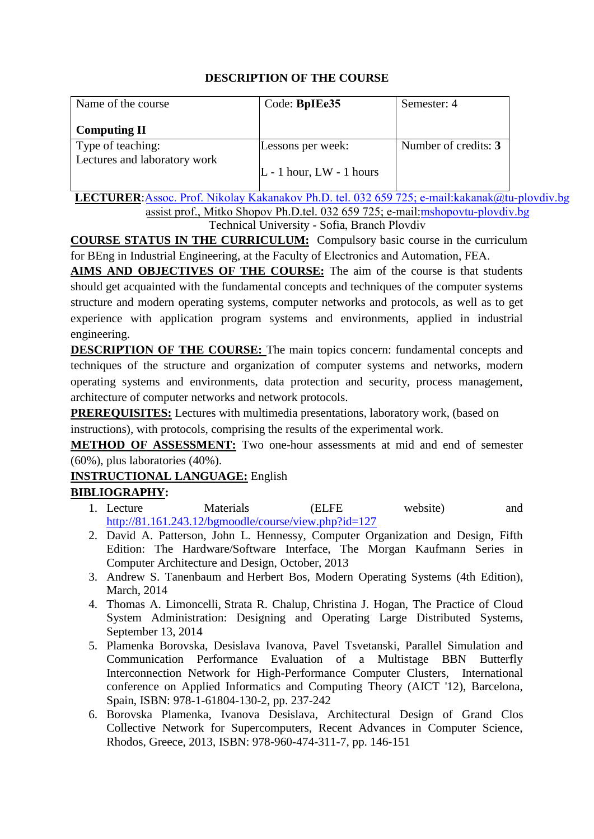| Name of the course           | Code: BpIEe35              | Semester: 4          |
|------------------------------|----------------------------|----------------------|
| <b>Computing II</b>          |                            |                      |
| Type of teaching:            | Lessons per week:          | Number of credits: 3 |
| Lectures and laboratory work | $L - 1$ hour, LW - 1 hours |                      |

**LECTURER**:Assoc. Prof. Nikolay Kakanakov Ph.D. tel. 032 659 725; e-ma[il:kakanak@tu-pl](mailto:pborovska@tu-sofia.bg)ovdiv.bg assist prof., Mitko Shopov Ph.D.tel. 032 659 725; e-mail:msho[povtu-plovdiv.bg](mailto:d_ivanova@tu-sofia.bg) [Technica](mailto:d_ivanova@tu-sofia.bg)l University - Sofia, Branch Plovdiv

**COURSE STATUS IN THE CURRICULUM:** Compulsory basic course in the curriculum for BEng in Industrial Engineering, at the Faculty of Electronics and Automation, FEA.

**AIMS AND OBJECTIVES OF THE COURSE:** The aim of the course is that students should get acquainted with the fundamental concepts and techniques of the computer systems structure and modern operating systems, computer networks and protocols, as well as to get experience with application program systems and environments, applied in industrial engineering.

**DESCRIPTION OF THE COURSE:** The main topics concern: fundamental concepts and techniques of the structure and organization of computer systems and networks, modern operating systems and environments, data protection and security, process management, architecture of computer networks and network protocols.

**PREREQUISITES:** Lectures with multimedia presentations, laboratory work, (based on instructions), with protocols, comprising the results of the experimental work.

**METHOD OF ASSESSMENT:** Two one-hour assessments at mid and end of semester (60%), plus laboratories (40%).

# **INSTRUCTIONAL LANGUAGE:** English

- 1. Lecture Materials (ELFE website) and <http://81.161.243.12/bgmoodle/course/view.php?id=127>
- 2. David A. Patterson, John L. Hennessy, Computer Organization and Design, Fifth Edition: The Hardware/Software Interface, The Morgan Kaufmann Series in Computer Architecture and Design, October, 2013
- 3. Andrew S. Tanenbaum and Herbert Bos, Modern Operating Systems (4th Edition), March, 2014
- 4. Thomas A. Limoncelli, Strata R. Chalup, Christina J. Hogan, The Practice of Cloud System Administration: Designing and Operating Large Distributed Systems, September 13, 2014
- 5. Plamenka Borovska, Desislava Ivanova, Pavel Tsvetanski, Parallel Simulation and Communication Performance Evaluation of a Multistage BBN Butterfly Interconnection Network for High-Performance Computer Clusters, International conference on Applied Informatics and Computing Theory (AICT '12), Barcelona, Spain, ISBN: 978-1-61804-130-2, pp. 237-242
- 6. Borovska Plamenka, Ivanova Desislava, Architectural Design of Grand Clos Collective Network for Supercomputers, Recent Advances in Computer Science, Rhodos, Greece, 2013, ISBN: 978-960-474-311-7, pp. 146-151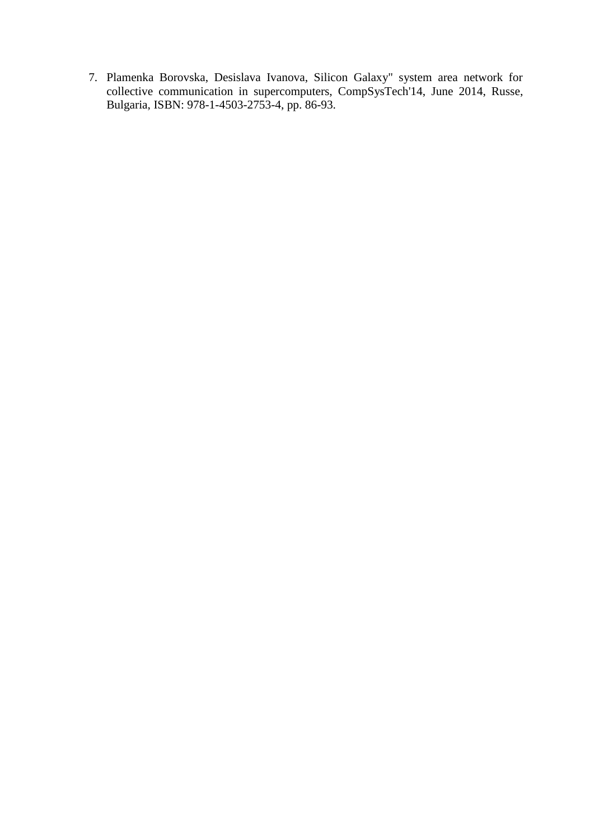7. Plamenka Borovska, Desislava Ivanova, Silicon Galaxy" system area network for collective communication in supercomputers, CompSysTech'14, June 2014, Russe, Bulgaria, ISBN: 978-1-4503-2753-4, pp. 86-93.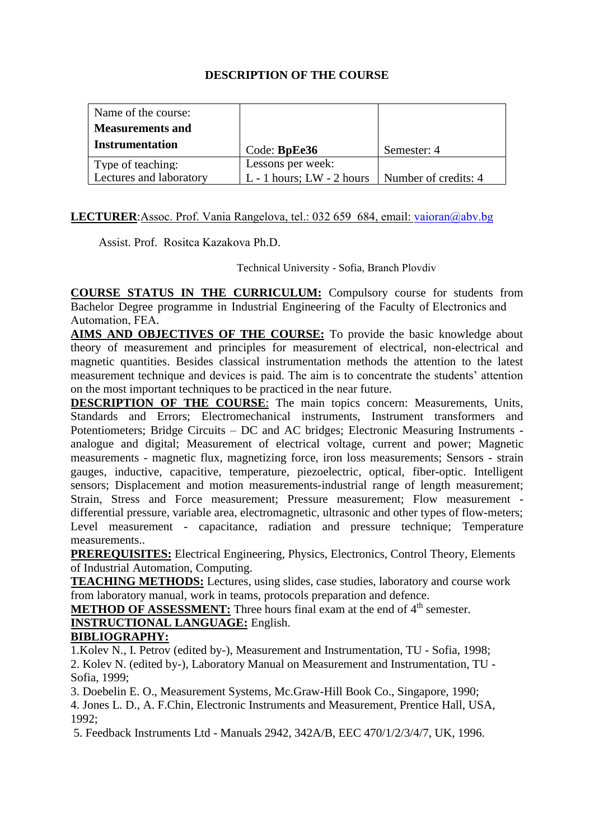| Name of the course:     |                               |                      |
|-------------------------|-------------------------------|----------------------|
| <b>Measurements and</b> |                               |                      |
| <b>Instrumentation</b>  | Code: BpEe36                  | Semester: 4          |
| Type of teaching:       | Lessons per week:             |                      |
| Lectures and laboratory | $L - 1$ hours; $LW - 2$ hours | Number of credits: 4 |

## **LECTURER:**Assoc. Prof. Vania Rangelova, tel.: 032 659 6[84, email: vaioran@a](mailto:rdinov@tu-sofia.bg)bv.bg

Assist. Prof. Rositca Kazakova Ph.D.

Technical University - Sofia, Branch Plovdiv

**COURSE STATUS IN THE CURRICULUM:** Compulsory course for students from Bachelor Degree programme in Industrial Engineering of the Faculty of Electronics and Automation, FEA.

**AIMS AND OBJECTIVES OF THE COURSE:** To provide the basic knowledge about theory of measurement and principles for measurement of electrical, non-electrical and magnetic quantities. Besides classical instrumentation methods the attention to the latest measurement technique and devices is paid. The aim is to concentrate the students' attention on the most important techniques to be practiced in the near future.

**DESCRIPTION OF THE COURSE:** The main topics concern: Measurements, Units, Standards and Errors; Electromechanical instruments, Instrument transformers and Potentiometers; Bridge Circuits – DC and AC bridges; Electronic Measuring Instruments analogue and digital; Measurement of electrical voltage, current and power; Magnetic measurements - magnetic flux, magnetizing force, iron loss measurements; Sensors - strain gauges, inductive, capacitive, temperature, piezoelectric, optical, fiber-optic. Intelligent sensors; Displacement and motion measurements-industrial range of length measurement; Strain, Stress and Force measurement; Pressure measurement; Flow measurement differential pressure, variable area, electromagnetic, ultrasonic and other types of flow-meters; Level measurement - capacitance, radiation and pressure technique; Temperature measurements..

**PREREQUISITES:** Electrical Engineering, Physics, Electronics, Control Theory, Elements of Industrial Automation, Computing.

**TEACHING METHODS:** Lectures, using slides, case studies, laboratory and course work from laboratory manual, work in teams, protocols preparation and defence.

**METHOD OF ASSESSMENT:** Three hours final exam at the end of 4<sup>th</sup> semester. **INSTRUCTIONAL LANGUAGE:** English.

## **BIBLIOGRAPHY:**

1.Kolev N., I. Petrov (edited by-), Measurement and Instrumentation, TU - Sofia, 1998; 2. Kolev N. (edited by-), Laboratory Manual on Measurement and Instrumentation, TU - Sofia, 1999;

3. Doebelin E. O., Measurement Systems, Mc.Graw-Hill Book Co., Singapore, 1990; 4. Jones L. D., A. F.Chin, Electronic Instruments and Measurement, Prentice Hall, USA, 1992;

5. Feedback Instruments Ltd - Manuals 2942, 342A/B, EEC 470/1/2/3/4/7, UK, 1996.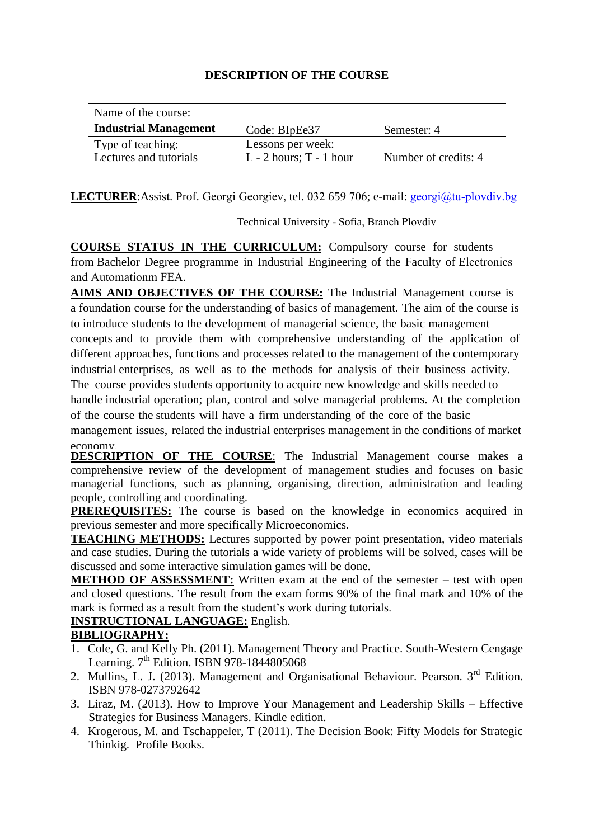| Name of the course:          |                           |                      |
|------------------------------|---------------------------|----------------------|
| <b>Industrial Management</b> | Code: BIpEe37             | Semester: 4          |
| Type of teaching:            | Lessons per week:         |                      |
| Lectures and tutorials       | $L - 2$ hours; T - 1 hour | Number of credits: 4 |

**LECTURER:**Assist. Prof. Georgi Georgiev, tel. 032 659 706; e-mail: georgi@tu-plovdiv.bg

Technical University - Sofia, Branch Plovdiv

**COURSE STATUS IN THE CURRICULUM:** Compulsory course for students from Bachelor Degree programme in Industrial Engineering of the Faculty of Electronics and Automationm FEA.

**AIMS AND OBJECTIVES OF THE COURSE:** The Industrial Management course is a foundation course for the understanding of basics of management. The aim of the course is to introduce students to the development of managerial science, the basic management concepts and to provide them with comprehensive understanding of the application of different approaches, functions and processes related to the management of the contemporary

industrial enterprises, as well as to the methods for analysis of their business activity.

The course provides students opportunity to acquire new knowledge and skills needed to handle industrial operation; plan, control and solve managerial problems. At the completion of the course the students will have a firm understanding of the core of the basic

management issues, related the industrial enterprises management in the conditions of market economy.

**DESCRIPTION OF THE COURSE**: The Industrial Management course makes a comprehensive review of the development of management studies and focuses on basic managerial functions, such as planning, organising, direction, administration and leading people, controlling and coordinating.

**PREREQUISITES:** The course is based on the knowledge in economics acquired in previous semester and more specifically Microeconomics.

**TEACHING METHODS:** Lectures supported by power point presentation, video materials and case studies. During the tutorials a wide variety of problems will be solved, cases will be discussed and some interactive simulation games will be done.

**METHOD OF ASSESSMENT:** Written exam at the end of the semester – test with open and closed questions. The result from the exam forms 90% of the final mark and 10% of the mark is formed as a result from the student's work during tutorials.

# **INSTRUCTIONAL LANGUAGE:** English.

- 1. Cole, G. and Kelly Ph. (2011). Management Theory and Practice. South-Western Cengage Learning.  $7<sup>th</sup>$  Edition. ISBN 978-1844805068
- 2. Mullins, L. J. (2013). Management and Organisational Behaviour. Pearson. 3<sup>rd</sup> Edition. ISBN 978-0273792642
- 3. Liraz, M. (2013). How to Improve Your Management and Leadership Skills Effective Strategies for Business Managers. Kindle edition.
- 4. Krogerous, M. and Tschappeler, T (2011). The Decision Book: Fifty Models for Strategic Thinkig. Profile Books.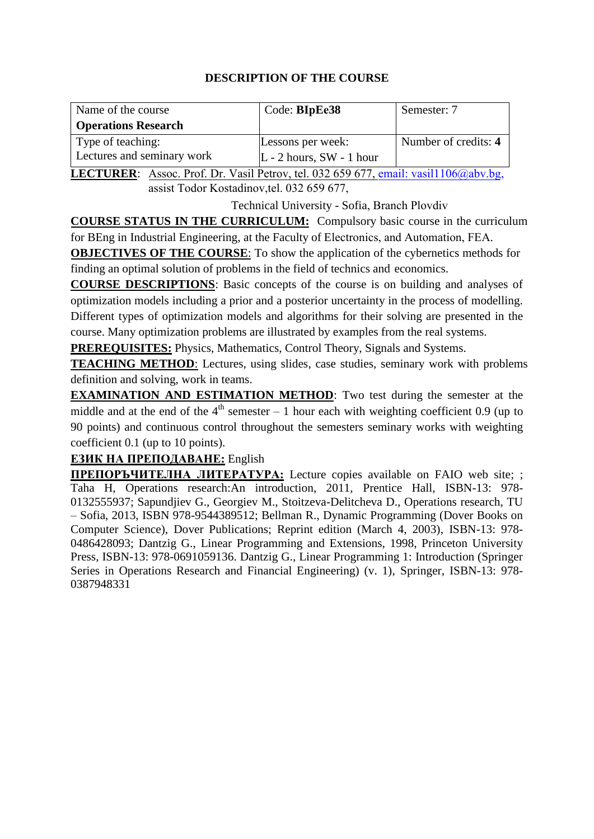| Code: BIpEe38              | Semester: 7                       |
|----------------------------|-----------------------------------|
|                            |                                   |
| Lessons per week:          | Number of credits: 4              |
| $L - 2$ hours, SW - 1 hour |                                   |
|                            | <b>POP XX 11 PO 1 000 CEO CEE</b> |

**LECTURER**: Assoc. Prof. Dr. Vasil Petrov, tel. 032 659 677, email: vasil1106 $@abv.bg$ , assist Todor Kostadinov,tel. 032 659 677,

Technical University - Sofia, Branch Plovdiv

**COURSE STATUS IN THE CURRICULUM:** Compulsory basic course in the curriculum for BEng in Industrial Engineering, at the Faculty of Electronics, and Automation, FEA.

**OBJECTIVES OF THE COURSE:** To show the application of the cybernetics methods for finding an optimal solution of problems in the field of technics and economics.

**COURSE DESCRIPTIONS**: Basic concepts of the course is on building and analyses of optimization models including a prior and a posterior uncertainty in the process of modelling. Different types of optimization models and algorithms for their solving are presented in the course. Many optimization problems are illustrated by examples from the real systems.

**PREREQUISITES:** Physics, Mathematics, Control Theory, Signals and Systems.

**TEACHING METHOD**: Lectures, using slides, case studies, seminary work with problems definition and solving, work in teams.

**EXAMINATION AND ESTIMATION METHOD**: Two test during the semester at the middle and at the end of the  $4<sup>th</sup>$  semester – 1 hour each with weighting coefficient 0.9 (up to 90 points) and continuous control throughout the semesters seminary works with weighting coefficient 0.1 (up to 10 points).

## **ЕЗИК НА ПРЕПОДАВАНЕ:** English

**ПРЕПОРЪЧИТЕЛНА ЛИТЕРАТУРА:** Lecture copies available on FAIO web site; ; Taha H, Operations research:An introduction, 2011, Prentice Hall, ISBN-13: 978- 0132555937; Sapundjiev G., Georgiev M., Stoitzeva-Delitcheva D., Operations research, TU – Sofia, 2013, ISBN 978-9544389512; Bellman R., Dynamic Programming (Dover Books on Computer Science), Dover Publications; Reprint edition (March 4, 2003), ISBN-13: 978- 0486428093; Dantzig G., Linear Programming and Extensions, 1998, Princeton University Press, ISBN-13: 978-0691059136. Dantzig G., Linear Programming 1: Introduction (Springer Series in Operations Research and Financial Engineering) (v. 1), Springer, ISBN-13: 978- 0387948331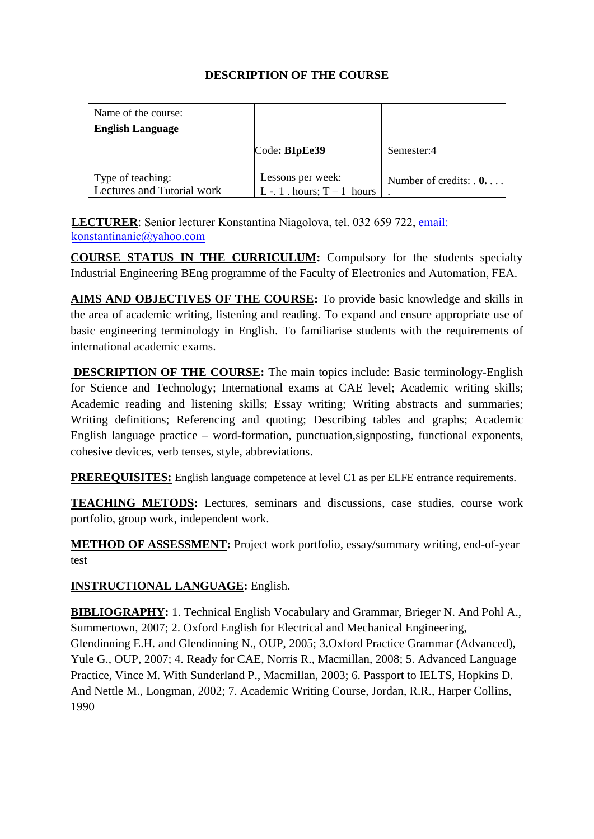| Name of the course:        |                             |                                 |
|----------------------------|-----------------------------|---------------------------------|
| <b>English Language</b>    |                             |                                 |
|                            | Code: BIpEe39               | Semester:4                      |
|                            |                             |                                 |
| Type of teaching:          | Lessons per week:           | Number of credits: $\mathbf{0}$ |
| Lectures and Tutorial work | L -. 1 . hours; $T-1$ hours |                                 |

**LECTURER**: Senior lecturer Konstantina Niago[lova, tel. 032 659 722, e](mailto:a_dineva@tu-sofia.bg)mail: konstantinanic@yahoo.com

**COURSE STATUS IN THE CURRICULUM:** Compulsory for the students specialty Industrial Engineering BEng programme of the Faculty of Electronics and Automation, FEA.

**AIMS AND OBJECTIVES OF THE COURSE:** To provide basic knowledge and skills in the area of academic writing, listening and reading. To expand and ensure appropriate use of basic engineering terminology in English. To familiarise students with the requirements of international academic exams.

**DESCRIPTION OF THE COURSE:** The main topics include: Basic terminology-English for Science and Technology; International exams at CAE level; Academic writing skills; Academic reading and listening skills; Essay writing; Writing abstracts and summaries; Writing definitions; Referencing and quoting; Describing tables and graphs; Academic English language practice – word-formation, punctuation,signposting, functional exponents, cohesive devices, verb tenses, style, abbreviations.

**PREREQUISITES:** English language competence at level C1 as per ELFE entrance requirements.

**TEACHING METODS:** Lectures, seminars and discussions, case studies, course work portfolio, group work, independent work.

**METHOD OF ASSESSMENT:** Project work portfolio, essay/summary writing, end-of-year test

# **INSTRUCTIONAL LANGUAGE:** English.

**BIBLIOGRAPHY:** 1. Technical English Vocabulary and Grammar, Brieger N. And Pohl A., Summertown, 2007; 2. Oxford English for Electrical and Mechanical Engineering, Glendinning E.H. and Glendinning N., OUP, 2005; 3.Oxford Practice Grammar (Advanced), Yule G., OUP, 2007; 4. Ready for CAE, Norris R., Macmillan, 2008; 5. Advanced Language Practice, Vince M. With Sunderland P., Macmillan, 2003; 6. Passport to IELTS, Hopkins D. And Nettle M., Longman, 2002; 7. Academic Writing Course, Jordan, R.R., Harper Collins, 1990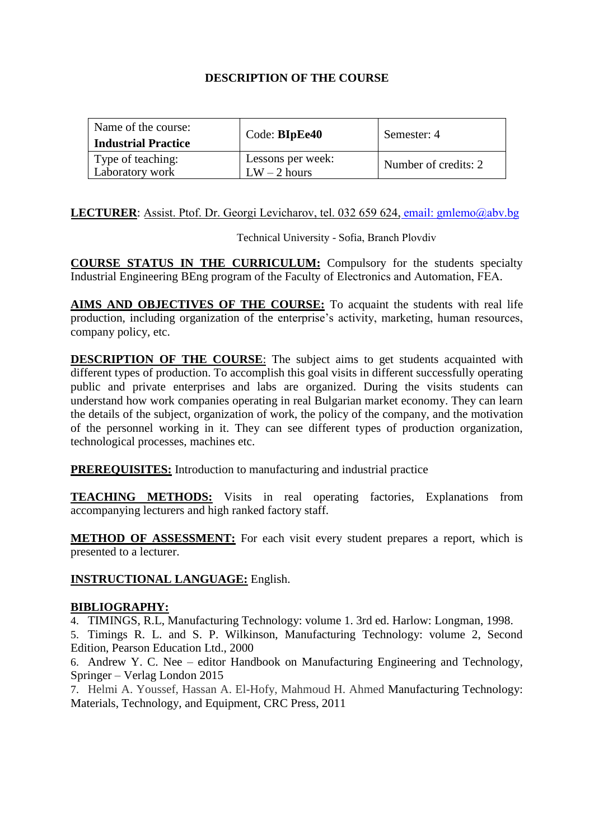| Name of the course:<br><b>Industrial Practice</b> | Code: BIpEe40                       | Semester: 4          |
|---------------------------------------------------|-------------------------------------|----------------------|
| Type of teaching:<br>Laboratory work              | Lessons per week:<br>$LW - 2$ hours | Number of credits: 2 |

#### **LECTURER**: Assist. Ptof. Dr. Georgi Levic[harov, tel. 032 659](mailto:nrg@tu-sofia.bg) 624, email: gmlemo@abv.bg

Technical University - Sofia, Branch Plovdiv

**COURSE STATUS IN THE CURRICULUM:** Compulsory for the students specialty Industrial Engineering BEng program of the Faculty of Electronics and Automation, FEA.

**AIMS AND OBJECTIVES OF THE COURSE:** To acquaint the students with real life production, including organization of the enterprise's activity, marketing, human resources, company policy, etc.

**DESCRIPTION OF THE COURSE:** The subject aims to get students acquainted with different types of production. To accomplish this goal visits in different successfully operating public and private enterprises and labs are organized. During the visits students can understand how work companies operating in real Bulgarian market economy. They can learn the details of the subject, organization of work, the policy of the company, and the motivation of the personnel working in it. They can see different types of production organization, technological processes, machines etc.

**PREREQUISITES:** Introduction to manufacturing and industrial practice

**TEACHING METHODS:** Visits in real operating factories, Explanations from accompanying lecturers and high ranked factory staff.

**METHOD OF ASSESSMENT:** For each visit every student prepares a report, which is presented to a lecturer.

#### **INSTRUCTIONAL LANGUAGE:** English.

#### **BIBLIOGRAPHY:**

4. TIMINGS, R.L, Manufacturing Technology: volume 1. 3rd ed. Harlow: Longman, 1998.

5. Timings R. L. and S. P. Wilkinson, Manufacturing Technology: volume 2, Second Edition, Pearson Education Ltd., 2000

6. Andrew Y. C. Nee – editor Handbook on Manufacturing Engineering and Technology, Springer – Verlag London 2015

7. Helmi A. Youssef, Hassan A. El-Hofy, Mahmoud H. Ahmed Manufacturing Technology: Materials, Technology, and Equipment, CRC Press, 2011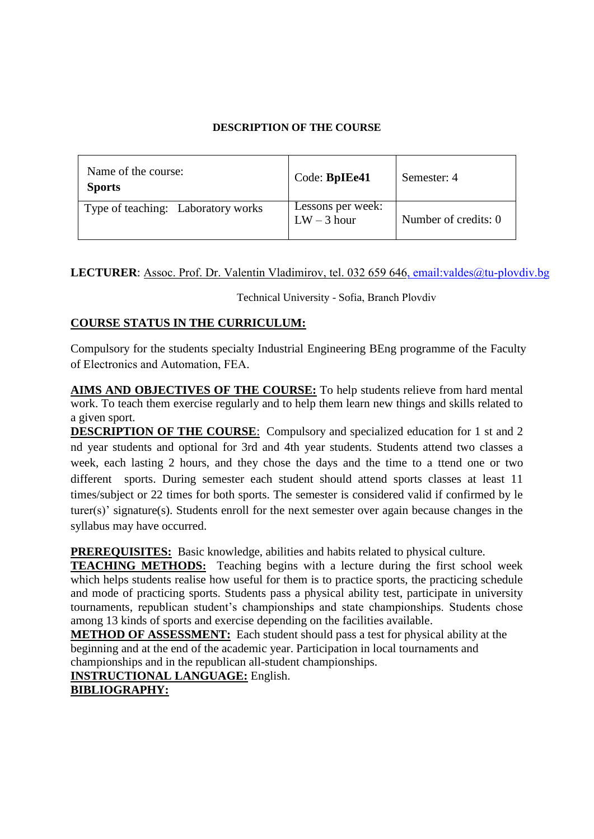| Name of the course:<br><b>Sports</b> | Code: BpIEe41                      | Semester: 4          |
|--------------------------------------|------------------------------------|----------------------|
| Type of teaching: Laboratory works   | Lessons per week:<br>$LW - 3$ hour | Number of credits: 0 |

## LECTURER: Assoc. Prof. Dr. Valentin Vladi[mirov, tel. 032 659 646, em](mailto:iv_venkov@tu-sofia.bg)ail:valdes@tu-plovdiv.bg

Technical University - Sofia, Branch Plovdiv

# **COURSE STATUS IN THE CURRICULUM:**

Compulsory for the students specialty Industrial Engineering BEng programme of the Faculty of Electronics and Automation, FEA.

work. To teach them exercise regularly and to help them learn new things and skills related to **AIMS AND OBJECTIVES OF THE COURSE:** To help students relieve from hard mental a given sport.

**DESCRIPTION OF THE COURSE**: Compulsory and specialized education for 1 st and 2 nd year students and optional for 3rd and 4th year students. Students attend two classes a week, each lasting 2 hours, and they chose the days and the time to a ttend one or two different sports. During semester each student should attend sports classes at least 11 times/subject or 22 times for both sports. The semester is considered valid if confirmed by le turer(s)' signature(s). Students enroll for the next semester over again because changes in the syllabus may have occurred.

**PREREQUISITES:** Basic knowledge, abilities and habits related to physical culture.

**TEACHING METHODS:** Teaching begins with a lecture during the first school week which helps students realise how useful for them is to practice sports, the practicing schedule and mode of practicing sports. Students pass a physical ability test, participate in university tournaments, republican student's championships and state championships. Students chose among 13 kinds of sports and exercise depending on the facilities available.

**METHOD OF ASSESSMENT:** Each student should pass a test for physical ability at the beginning and at the end of the academic year. Participation in local tournaments and championships and in the republican all-student championships.

**INSTRUCTIONAL LANGUAGE:** English.